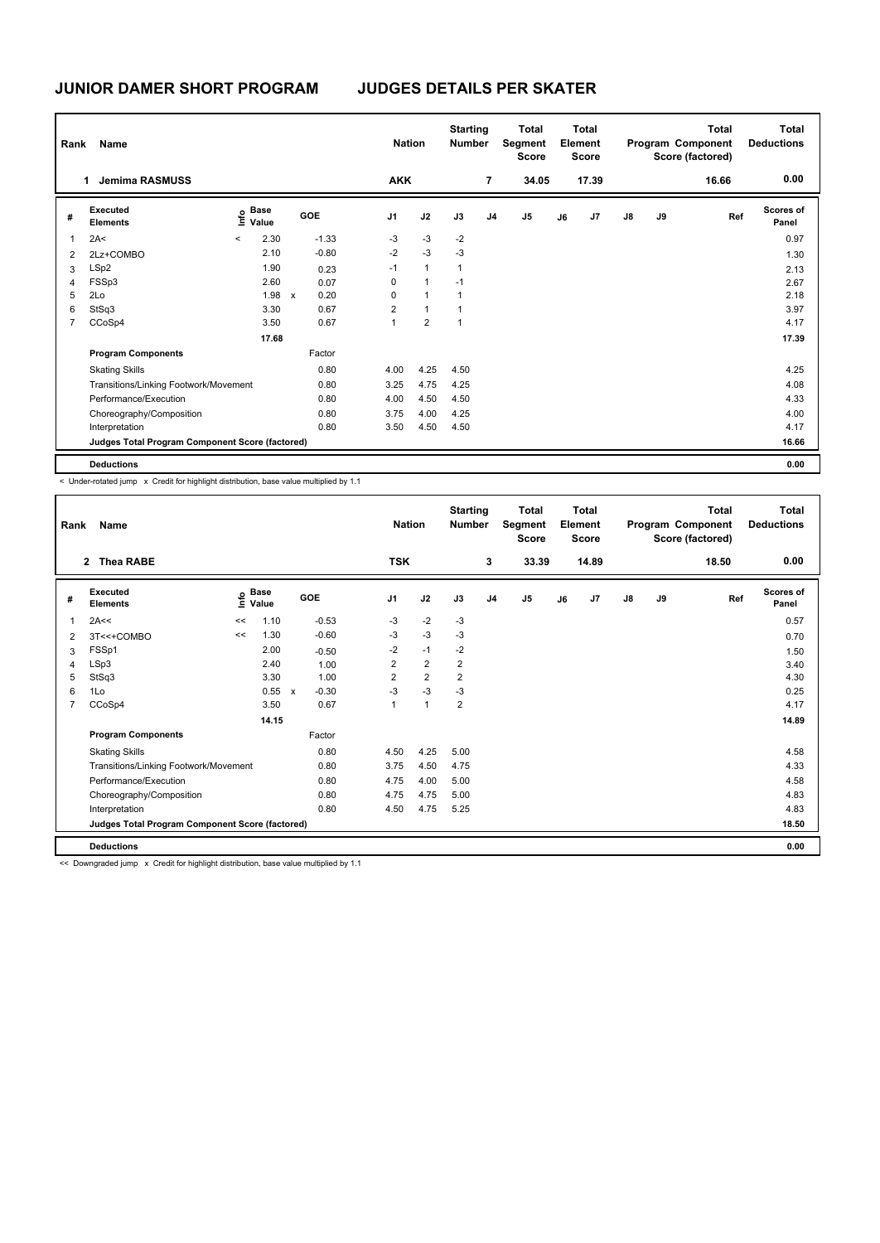| Rank | Name                                            |                           |       |                      |                | <b>Nation</b> |                | <b>Starting</b><br><b>Number</b> |                | Total<br>Segment<br><b>Score</b> |    | <b>Total</b><br>Element<br>Score |               |    | Total<br>Program Component<br>Score (factored) | Total<br><b>Deductions</b> |
|------|-------------------------------------------------|---------------------------|-------|----------------------|----------------|---------------|----------------|----------------------------------|----------------|----------------------------------|----|----------------------------------|---------------|----|------------------------------------------------|----------------------------|
|      | <b>Jemima RASMUSS</b><br>1                      |                           |       |                      |                | <b>AKK</b>    |                |                                  | 7              | 34.05                            |    | 17.39                            |               |    | 16.66                                          | 0.00                       |
| #    | Executed<br><b>Elements</b>                     | Base<br>e Base<br>⊆ Value |       | <b>GOE</b>           | J <sub>1</sub> |               | J2             | J3                               | J <sub>4</sub> | J <sub>5</sub>                   | J6 | J <sub>7</sub>                   | $\mathsf{J}8$ | J9 | Ref                                            | <b>Scores of</b><br>Panel  |
| 1    | 2A<                                             | $\prec$                   | 2.30  | $-1.33$              | -3             |               | $-3$           | $-2$                             |                |                                  |    |                                  |               |    |                                                | 0.97                       |
| 2    | 2Lz+COMBO                                       |                           | 2.10  | $-0.80$              | $-2$           |               | $-3$           | $-3$                             |                |                                  |    |                                  |               |    |                                                | 1.30                       |
| 3    | LSp2                                            |                           | 1.90  | 0.23                 | $-1$           |               | $\overline{1}$ | $\mathbf{1}$                     |                |                                  |    |                                  |               |    |                                                | 2.13                       |
| 4    | FSSp3                                           |                           | 2.60  | 0.07                 | 0              |               | $\mathbf{1}$   | $-1$                             |                |                                  |    |                                  |               |    |                                                | 2.67                       |
| 5    | 2Lo                                             |                           | 1.98  | 0.20<br>$\mathsf{x}$ | 0              |               | $\mathbf{1}$   | 1                                |                |                                  |    |                                  |               |    |                                                | 2.18                       |
| 6    | StSq3                                           |                           | 3.30  | 0.67                 | 2              |               | $\mathbf{1}$   | 1                                |                |                                  |    |                                  |               |    |                                                | 3.97                       |
| 7    | CCoSp4                                          |                           | 3.50  | 0.67                 | 1              |               | $\overline{2}$ | $\overline{1}$                   |                |                                  |    |                                  |               |    |                                                | 4.17                       |
|      |                                                 |                           | 17.68 |                      |                |               |                |                                  |                |                                  |    |                                  |               |    |                                                | 17.39                      |
|      | <b>Program Components</b>                       |                           |       | Factor               |                |               |                |                                  |                |                                  |    |                                  |               |    |                                                |                            |
|      | <b>Skating Skills</b>                           |                           |       | 0.80                 | 4.00           |               | 4.25           | 4.50                             |                |                                  |    |                                  |               |    |                                                | 4.25                       |
|      | Transitions/Linking Footwork/Movement           |                           |       | 0.80                 | 3.25           |               | 4.75           | 4.25                             |                |                                  |    |                                  |               |    |                                                | 4.08                       |
|      | Performance/Execution                           |                           |       | 0.80                 | 4.00           |               | 4.50           | 4.50                             |                |                                  |    |                                  |               |    |                                                | 4.33                       |
|      | Choreography/Composition                        |                           |       | 0.80                 | 3.75           |               | 4.00           | 4.25                             |                |                                  |    |                                  |               |    |                                                | 4.00                       |
|      | Interpretation                                  |                           |       | 0.80                 | 3.50           |               | 4.50           | 4.50                             |                |                                  |    |                                  |               |    |                                                | 4.17                       |
|      | Judges Total Program Component Score (factored) |                           |       |                      |                |               |                |                                  |                |                                  |    |                                  |               |    |                                                | 16.66                      |
|      | <b>Deductions</b>                               |                           |       |                      |                |               |                |                                  |                |                                  |    |                                  |               |    |                                                | 0.00                       |

< Under-rotated jump x Credit for highlight distribution, base value multiplied by 1.1

| Rank           | Name                                            |      |                      |              |         | <b>Nation</b>           |                | <b>Starting</b><br><b>Number</b> |                | Total<br>Segment<br><b>Score</b> |    | <b>Total</b><br>Element<br><b>Score</b> |               |    | <b>Total</b><br>Program Component<br>Score (factored) | <b>Total</b><br><b>Deductions</b> |
|----------------|-------------------------------------------------|------|----------------------|--------------|---------|-------------------------|----------------|----------------------------------|----------------|----------------------------------|----|-----------------------------------------|---------------|----|-------------------------------------------------------|-----------------------------------|
|                | <b>Thea RABE</b><br>$2^{\circ}$                 |      |                      |              |         | <b>TSK</b>              |                |                                  | 3              | 33.39                            |    | 14.89                                   |               |    | 18.50                                                 | 0.00                              |
| #              | Executed<br><b>Elements</b>                     | lnfo | <b>Base</b><br>Value | <b>GOE</b>   |         | J <sub>1</sub>          | J2             | J3                               | J <sub>4</sub> | J <sub>5</sub>                   | J6 | J7                                      | $\mathsf{J}8$ | J9 | Ref                                                   | <b>Scores of</b><br>Panel         |
| 1              | 2A<<                                            | <<   | 1.10                 |              | $-0.53$ | -3                      | $-2$           | $-3$                             |                |                                  |    |                                         |               |    |                                                       | 0.57                              |
| 2              | 3T<<+COMBO                                      | <<   | 1.30                 |              | $-0.60$ | $-3$                    | $-3$           | $-3$                             |                |                                  |    |                                         |               |    |                                                       | 0.70                              |
| 3              | FSSp1                                           |      | 2.00                 |              | $-0.50$ | $-2$                    | $-1$           | $-2$                             |                |                                  |    |                                         |               |    |                                                       | 1.50                              |
| 4              | LSp3                                            |      | 2.40                 |              | 1.00    | $\overline{\mathbf{c}}$ | $\overline{2}$ | $\overline{2}$                   |                |                                  |    |                                         |               |    |                                                       | 3.40                              |
| 5              | StSq3                                           |      | 3.30                 |              | 1.00    | 2                       | $\overline{2}$ | 2                                |                |                                  |    |                                         |               |    |                                                       | 4.30                              |
| 6              | 1Lo                                             |      | 0.55                 | $\mathsf{x}$ | $-0.30$ | $-3$                    | $-3$           | $-3$                             |                |                                  |    |                                         |               |    |                                                       | 0.25                              |
| $\overline{7}$ | CCoSp4                                          |      | 3.50                 |              | 0.67    | $\mathbf{1}$            | $\mathbf{1}$   | $\overline{2}$                   |                |                                  |    |                                         |               |    |                                                       | 4.17                              |
|                |                                                 |      | 14.15                |              |         |                         |                |                                  |                |                                  |    |                                         |               |    |                                                       | 14.89                             |
|                | <b>Program Components</b>                       |      |                      | Factor       |         |                         |                |                                  |                |                                  |    |                                         |               |    |                                                       |                                   |
|                | <b>Skating Skills</b>                           |      |                      |              | 0.80    | 4.50                    | 4.25           | 5.00                             |                |                                  |    |                                         |               |    |                                                       | 4.58                              |
|                | Transitions/Linking Footwork/Movement           |      |                      |              | 0.80    | 3.75                    | 4.50           | 4.75                             |                |                                  |    |                                         |               |    |                                                       | 4.33                              |
|                | Performance/Execution                           |      |                      |              | 0.80    | 4.75                    | 4.00           | 5.00                             |                |                                  |    |                                         |               |    |                                                       | 4.58                              |
|                | Choreography/Composition                        |      |                      |              | 0.80    | 4.75                    | 4.75           | 5.00                             |                |                                  |    |                                         |               |    |                                                       | 4.83                              |
|                | Interpretation                                  |      |                      |              | 0.80    | 4.50                    | 4.75           | 5.25                             |                |                                  |    |                                         |               |    |                                                       | 4.83                              |
|                | Judges Total Program Component Score (factored) |      |                      |              |         |                         |                |                                  |                |                                  |    |                                         |               |    |                                                       | 18.50                             |
|                | <b>Deductions</b>                               |      |                      |              |         |                         |                |                                  |                |                                  |    |                                         |               |    |                                                       | 0.00                              |

<< Downgraded jump x Credit for highlight distribution, base value multiplied by 1.1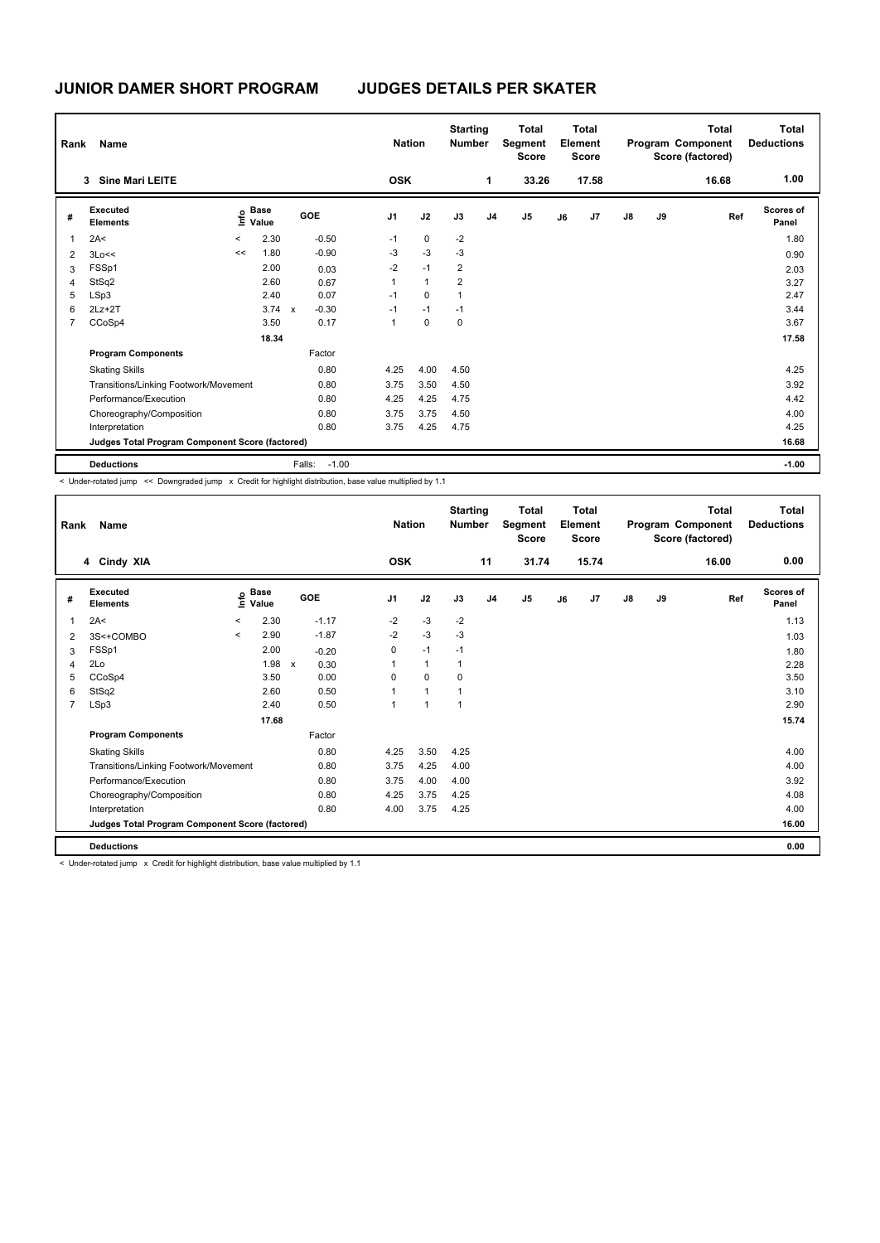# **JUDGES DETAILS PER SKATER**

| Rank | Name                                            |         |                      |              |         | <b>Nation</b>  |              | <b>Starting</b><br><b>Number</b> |                | Total<br>Segment<br><b>Score</b> |    | <b>Total</b><br>Element<br><b>Score</b> |               |    | <b>Total</b><br>Program Component<br>Score (factored) | Total<br><b>Deductions</b> |
|------|-------------------------------------------------|---------|----------------------|--------------|---------|----------------|--------------|----------------------------------|----------------|----------------------------------|----|-----------------------------------------|---------------|----|-------------------------------------------------------|----------------------------|
|      | <b>Sine Mari LEITE</b><br>3                     |         |                      |              |         | <b>OSK</b>     |              |                                  | 1              | 33.26                            |    | 17.58                                   |               |    | 16.68                                                 | 1.00                       |
| #    | Executed<br><b>Elements</b>                     | e       | <b>Base</b><br>Value |              | GOE     | J <sub>1</sub> | J2           | J3                               | J <sub>4</sub> | J <sub>5</sub>                   | J6 | J7                                      | $\mathsf{J}8$ | J9 | Ref                                                   | Scores of<br>Panel         |
| 1    | 2A<                                             | $\prec$ | 2.30                 |              | $-0.50$ | $-1$           | 0            | $-2$                             |                |                                  |    |                                         |               |    |                                                       | 1.80                       |
| 2    | 3Lo<<                                           | <<      | 1.80                 |              | $-0.90$ | -3             | $-3$         | $-3$                             |                |                                  |    |                                         |               |    |                                                       | 0.90                       |
| 3    | FSSp1                                           |         | 2.00                 |              | 0.03    | $-2$           | $-1$         | 2                                |                |                                  |    |                                         |               |    |                                                       | 2.03                       |
| 4    | StSq2                                           |         | 2.60                 |              | 0.67    | 1              | $\mathbf{1}$ | 2                                |                |                                  |    |                                         |               |    |                                                       | 3.27                       |
| 5    | LSp3                                            |         | 2.40                 |              | 0.07    | $-1$           | 0            | 1                                |                |                                  |    |                                         |               |    |                                                       | 2.47                       |
| 6    | $2Lz+2T$                                        |         | 3.74                 | $\mathsf{x}$ | $-0.30$ | $-1$           | $-1$         | $-1$                             |                |                                  |    |                                         |               |    |                                                       | 3.44                       |
| 7    | CCoSp4                                          |         | 3.50                 |              | 0.17    | 1              | $\mathbf 0$  | 0                                |                |                                  |    |                                         |               |    |                                                       | 3.67                       |
|      |                                                 |         | 18.34                |              |         |                |              |                                  |                |                                  |    |                                         |               |    |                                                       | 17.58                      |
|      | <b>Program Components</b>                       |         |                      |              | Factor  |                |              |                                  |                |                                  |    |                                         |               |    |                                                       |                            |
|      | <b>Skating Skills</b>                           |         |                      |              | 0.80    | 4.25           | 4.00         | 4.50                             |                |                                  |    |                                         |               |    |                                                       | 4.25                       |
|      | Transitions/Linking Footwork/Movement           |         |                      |              | 0.80    | 3.75           | 3.50         | 4.50                             |                |                                  |    |                                         |               |    |                                                       | 3.92                       |
|      | Performance/Execution                           |         |                      |              | 0.80    | 4.25           | 4.25         | 4.75                             |                |                                  |    |                                         |               |    |                                                       | 4.42                       |
|      | Choreography/Composition                        |         |                      |              | 0.80    | 3.75           | 3.75         | 4.50                             |                |                                  |    |                                         |               |    |                                                       | 4.00                       |
|      | Interpretation                                  |         |                      |              | 0.80    | 3.75           | 4.25         | 4.75                             |                |                                  |    |                                         |               |    |                                                       | 4.25                       |
|      | Judges Total Program Component Score (factored) |         |                      |              |         |                |              |                                  |                |                                  |    |                                         |               |    |                                                       | 16.68                      |
|      | <b>Deductions</b>                               |         |                      | Falls:       | $-1.00$ |                |              |                                  |                |                                  |    |                                         |               |    |                                                       | $-1.00$                    |

< Under-rotated jump << Downgraded jump x Credit for highlight distribution, base value multiplied by 1.1

| Rank           | Name                                            |         |               |              |            |                | <b>Nation</b> |                | <b>Starting</b><br><b>Number</b> |                | <b>Total</b><br>Segment<br><b>Score</b> |    | <b>Total</b><br>Element<br><b>Score</b> |               |    | <b>Total</b><br>Program Component<br>Score (factored) | <b>Total</b><br><b>Deductions</b> |
|----------------|-------------------------------------------------|---------|---------------|--------------|------------|----------------|---------------|----------------|----------------------------------|----------------|-----------------------------------------|----|-----------------------------------------|---------------|----|-------------------------------------------------------|-----------------------------------|
|                | 4 Cindy XIA                                     |         |               |              |            | <b>OSK</b>     |               |                |                                  | 11             | 31.74                                   |    | 15.74                                   |               |    | 16.00                                                 | 0.00                              |
| #              | Executed<br><b>Elements</b>                     | lnfo    | Base<br>Value |              | <b>GOE</b> | J <sub>1</sub> |               | J2             | J3                               | J <sub>4</sub> | J <sub>5</sub>                          | J6 | J7                                      | $\mathsf{J}8$ | J9 | Ref                                                   | <b>Scores of</b><br>Panel         |
| 1              | 2A<                                             | $\prec$ | 2.30          |              | $-1.17$    | $-2$           |               | $-3$           | $-2$                             |                |                                         |    |                                         |               |    |                                                       | 1.13                              |
| 2              | 3S<+COMBO                                       | $\prec$ | 2.90          |              | $-1.87$    | $-2$           |               | $-3$           | $-3$                             |                |                                         |    |                                         |               |    |                                                       | 1.03                              |
| 3              | FSSp1                                           |         | 2.00          |              | $-0.20$    | 0              |               | $-1$           | $-1$                             |                |                                         |    |                                         |               |    |                                                       | 1.80                              |
| $\overline{4}$ | 2Lo                                             |         | 1.98          | $\mathsf{x}$ | 0.30       |                |               | $\mathbf{1}$   | $\overline{1}$                   |                |                                         |    |                                         |               |    |                                                       | 2.28                              |
| 5              | CCoSp4                                          |         | 3.50          |              | 0.00       | 0              |               | 0              | 0                                |                |                                         |    |                                         |               |    |                                                       | 3.50                              |
| 6              | StSq2                                           |         | 2.60          |              | 0.50       |                |               | $\overline{1}$ |                                  |                |                                         |    |                                         |               |    |                                                       | 3.10                              |
| $\overline{7}$ | LSp3                                            |         | 2.40          |              | 0.50       | 1              |               | $\overline{1}$ | $\overline{1}$                   |                |                                         |    |                                         |               |    |                                                       | 2.90                              |
|                |                                                 |         | 17.68         |              |            |                |               |                |                                  |                |                                         |    |                                         |               |    |                                                       | 15.74                             |
|                | <b>Program Components</b>                       |         |               |              | Factor     |                |               |                |                                  |                |                                         |    |                                         |               |    |                                                       |                                   |
|                | <b>Skating Skills</b>                           |         |               |              | 0.80       | 4.25           |               | 3.50           | 4.25                             |                |                                         |    |                                         |               |    |                                                       | 4.00                              |
|                | Transitions/Linking Footwork/Movement           |         |               |              | 0.80       | 3.75           |               | 4.25           | 4.00                             |                |                                         |    |                                         |               |    |                                                       | 4.00                              |
|                | Performance/Execution                           |         |               |              | 0.80       | 3.75           |               | 4.00           | 4.00                             |                |                                         |    |                                         |               |    |                                                       | 3.92                              |
|                | Choreography/Composition                        |         |               |              | 0.80       | 4.25           |               | 3.75           | 4.25                             |                |                                         |    |                                         |               |    |                                                       | 4.08                              |
|                | Interpretation                                  |         |               |              | 0.80       | 4.00           |               | 3.75           | 4.25                             |                |                                         |    |                                         |               |    |                                                       | 4.00                              |
|                | Judges Total Program Component Score (factored) |         |               |              |            |                |               |                |                                  |                |                                         |    |                                         |               |    |                                                       | 16.00                             |
|                | <b>Deductions</b>                               |         |               |              |            |                |               |                |                                  |                |                                         |    |                                         |               |    |                                                       | 0.00                              |

< Under-rotated jump x Credit for highlight distribution, base value multiplied by 1.1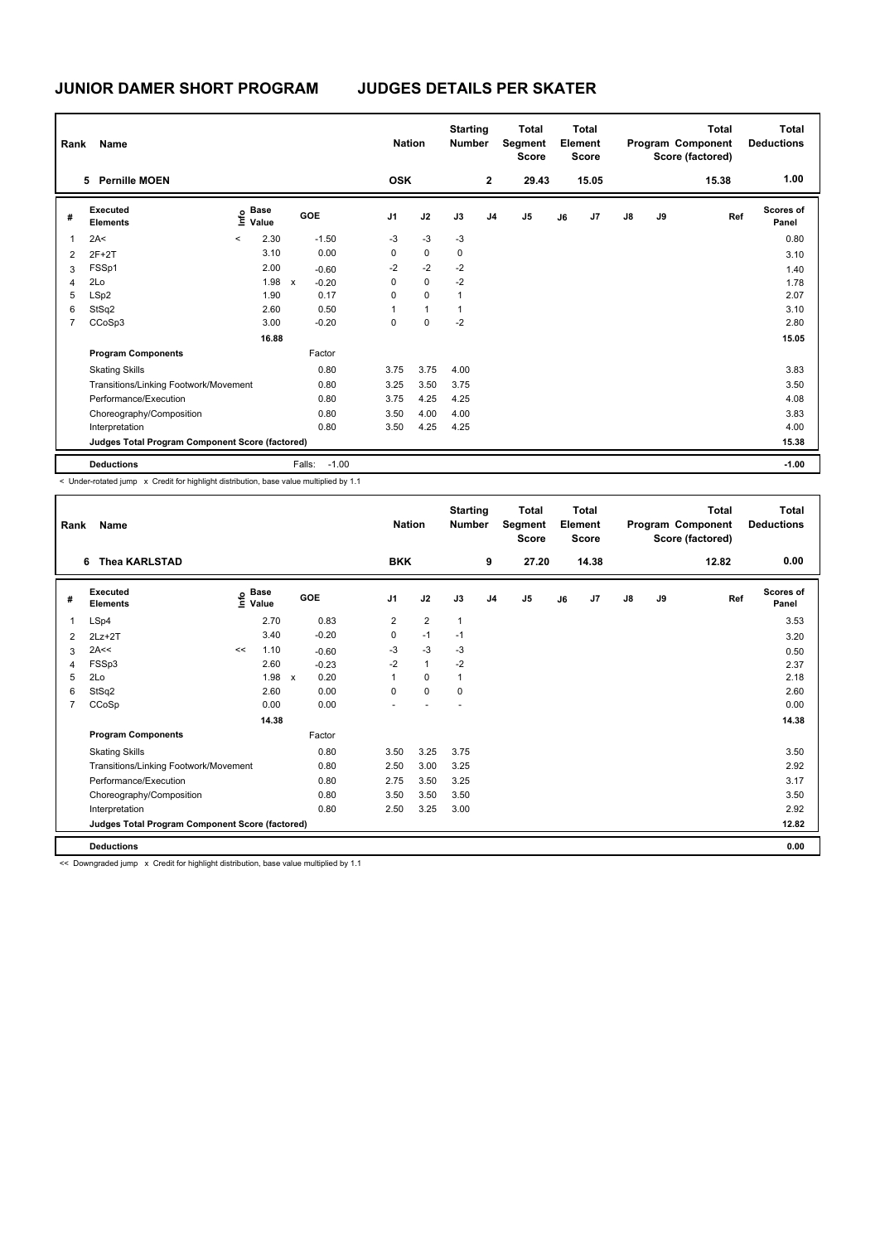| Rank           | Name                                            |                          |                      |              |         | <b>Nation</b>  |              | <b>Starting</b><br><b>Number</b> |                | <b>Total</b><br>Segment<br><b>Score</b> |    | <b>Total</b><br>Element<br>Score |               |    | Total<br>Program Component<br>Score (factored) | <b>Total</b><br><b>Deductions</b> |
|----------------|-------------------------------------------------|--------------------------|----------------------|--------------|---------|----------------|--------------|----------------------------------|----------------|-----------------------------------------|----|----------------------------------|---------------|----|------------------------------------------------|-----------------------------------|
|                | <b>Pernille MOEN</b><br>5.                      |                          |                      |              |         | <b>OSK</b>     |              |                                  | $\mathbf{2}$   | 29.43                                   |    | 15.05                            |               |    | 15.38                                          | 1.00                              |
| #              | Executed<br><b>Elements</b>                     | $\mathop{\mathsf{Info}}$ | <b>Base</b><br>Value |              | GOE     | J <sub>1</sub> | J2           | J3                               | J <sub>4</sub> | J <sub>5</sub>                          | J6 | J7                               | $\mathsf{J}8$ | J9 | Ref                                            | <b>Scores of</b><br>Panel         |
| 1              | 2A<                                             | $\,<\,$                  | 2.30                 |              | $-1.50$ | $-3$           | $-3$         | $-3$                             |                |                                         |    |                                  |               |    |                                                | 0.80                              |
| $\overline{2}$ | $2F+2T$                                         |                          | 3.10                 |              | 0.00    | 0              | $\mathbf 0$  | 0                                |                |                                         |    |                                  |               |    |                                                | 3.10                              |
| 3              | FSSp1                                           |                          | 2.00                 |              | $-0.60$ | $-2$           | $-2$         | $-2$                             |                |                                         |    |                                  |               |    |                                                | 1.40                              |
| 4              | 2Lo                                             |                          | 1.98                 | $\mathsf{x}$ | $-0.20$ | 0              | $\mathbf 0$  | $-2$                             |                |                                         |    |                                  |               |    |                                                | 1.78                              |
| 5              | LSp2                                            |                          | 1.90                 |              | 0.17    | $\Omega$       | $\Omega$     | $\overline{1}$                   |                |                                         |    |                                  |               |    |                                                | 2.07                              |
| 6              | StSq2                                           |                          | 2.60                 |              | 0.50    | 1              | $\mathbf{1}$ | 1                                |                |                                         |    |                                  |               |    |                                                | 3.10                              |
| $\overline{7}$ | CCoSp3                                          |                          | 3.00                 |              | $-0.20$ | $\Omega$       | $\mathbf 0$  | $-2$                             |                |                                         |    |                                  |               |    |                                                | 2.80                              |
|                |                                                 |                          | 16.88                |              |         |                |              |                                  |                |                                         |    |                                  |               |    |                                                | 15.05                             |
|                | <b>Program Components</b>                       |                          |                      |              | Factor  |                |              |                                  |                |                                         |    |                                  |               |    |                                                |                                   |
|                | <b>Skating Skills</b>                           |                          |                      |              | 0.80    | 3.75           | 3.75         | 4.00                             |                |                                         |    |                                  |               |    |                                                | 3.83                              |
|                | Transitions/Linking Footwork/Movement           |                          |                      |              | 0.80    | 3.25           | 3.50         | 3.75                             |                |                                         |    |                                  |               |    |                                                | 3.50                              |
|                | Performance/Execution                           |                          |                      |              | 0.80    | 3.75           | 4.25         | 4.25                             |                |                                         |    |                                  |               |    |                                                | 4.08                              |
|                | Choreography/Composition                        |                          |                      |              | 0.80    | 3.50           | 4.00         | 4.00                             |                |                                         |    |                                  |               |    |                                                | 3.83                              |
|                | Interpretation                                  |                          |                      |              | 0.80    | 3.50           | 4.25         | 4.25                             |                |                                         |    |                                  |               |    |                                                | 4.00                              |
|                | Judges Total Program Component Score (factored) |                          |                      |              |         |                |              |                                  |                |                                         |    |                                  |               |    |                                                | 15.38                             |
|                | <b>Deductions</b>                               |                          |                      | Falls:       | $-1.00$ |                |              |                                  |                |                                         |    |                                  |               |    |                                                | $-1.00$                           |

< Under-rotated jump x Credit for highlight distribution, base value multiplied by 1.1

| Rank | Name                                            |    |                                  |              |            |                | <b>Nation</b>  | <b>Starting</b><br><b>Number</b> |                | <b>Total</b><br>Segment<br><b>Score</b> |    | Total<br>Element<br><b>Score</b> |               |    | Total<br>Program Component<br>Score (factored) | Total<br><b>Deductions</b> |
|------|-------------------------------------------------|----|----------------------------------|--------------|------------|----------------|----------------|----------------------------------|----------------|-----------------------------------------|----|----------------------------------|---------------|----|------------------------------------------------|----------------------------|
|      | <b>Thea KARLSTAD</b><br>6                       |    |                                  |              |            | <b>BKK</b>     |                |                                  | 9              | 27.20                                   |    | 14.38                            |               |    | 12.82                                          | 0.00                       |
| #    | Executed<br><b>Elements</b>                     |    | <b>Base</b><br>e Base<br>⊆ Value |              | <b>GOE</b> | J <sub>1</sub> | J2             | J3                               | J <sub>4</sub> | J5                                      | J6 | J7                               | $\mathsf{J}8$ | J9 | Ref                                            | <b>Scores of</b><br>Panel  |
| 1    | LSp4                                            |    | 2.70                             |              | 0.83       | 2              | $\overline{2}$ | $\mathbf{1}$                     |                |                                         |    |                                  |               |    |                                                | 3.53                       |
| 2    | $2Lz+2T$                                        |    | 3.40                             |              | $-0.20$    | 0              | $-1$           | $-1$                             |                |                                         |    |                                  |               |    |                                                | 3.20                       |
| 3    | 2A<<                                            | << | 1.10                             |              | $-0.60$    | -3             | $-3$           | -3                               |                |                                         |    |                                  |               |    |                                                | 0.50                       |
| 4    | FSSp3                                           |    | 2.60                             |              | $-0.23$    | $-2$           | $\mathbf{1}$   | $-2$                             |                |                                         |    |                                  |               |    |                                                | 2.37                       |
| 5    | 2Lo                                             |    | 1.98                             | $\mathsf{x}$ | 0.20       | 1              | $\Omega$       | 1                                |                |                                         |    |                                  |               |    |                                                | 2.18                       |
| 6    | StSq2                                           |    | 2.60                             |              | 0.00       | 0              | $\mathbf 0$    | $\mathbf 0$                      |                |                                         |    |                                  |               |    |                                                | 2.60                       |
| 7    | CCoSp                                           |    | 0.00                             |              | 0.00       |                |                |                                  |                |                                         |    |                                  |               |    |                                                | 0.00                       |
|      |                                                 |    | 14.38                            |              |            |                |                |                                  |                |                                         |    |                                  |               |    |                                                | 14.38                      |
|      | <b>Program Components</b>                       |    |                                  |              | Factor     |                |                |                                  |                |                                         |    |                                  |               |    |                                                |                            |
|      | <b>Skating Skills</b>                           |    |                                  |              | 0.80       | 3.50           | 3.25           | 3.75                             |                |                                         |    |                                  |               |    |                                                | 3.50                       |
|      | Transitions/Linking Footwork/Movement           |    |                                  |              | 0.80       | 2.50           | 3.00           | 3.25                             |                |                                         |    |                                  |               |    |                                                | 2.92                       |
|      | Performance/Execution                           |    |                                  |              | 0.80       | 2.75           | 3.50           | 3.25                             |                |                                         |    |                                  |               |    |                                                | 3.17                       |
|      | Choreography/Composition                        |    |                                  |              | 0.80       | 3.50           | 3.50           | 3.50                             |                |                                         |    |                                  |               |    |                                                | 3.50                       |
|      | Interpretation                                  |    |                                  |              | 0.80       | 2.50           | 3.25           | 3.00                             |                |                                         |    |                                  |               |    |                                                | 2.92                       |
|      | Judges Total Program Component Score (factored) |    |                                  |              |            |                |                |                                  |                |                                         |    |                                  |               |    |                                                | 12.82                      |
|      | <b>Deductions</b>                               |    |                                  |              |            |                |                |                                  |                |                                         |    |                                  |               |    |                                                | 0.00                       |

<< Downgraded jump x Credit for highlight distribution, base value multiplied by 1.1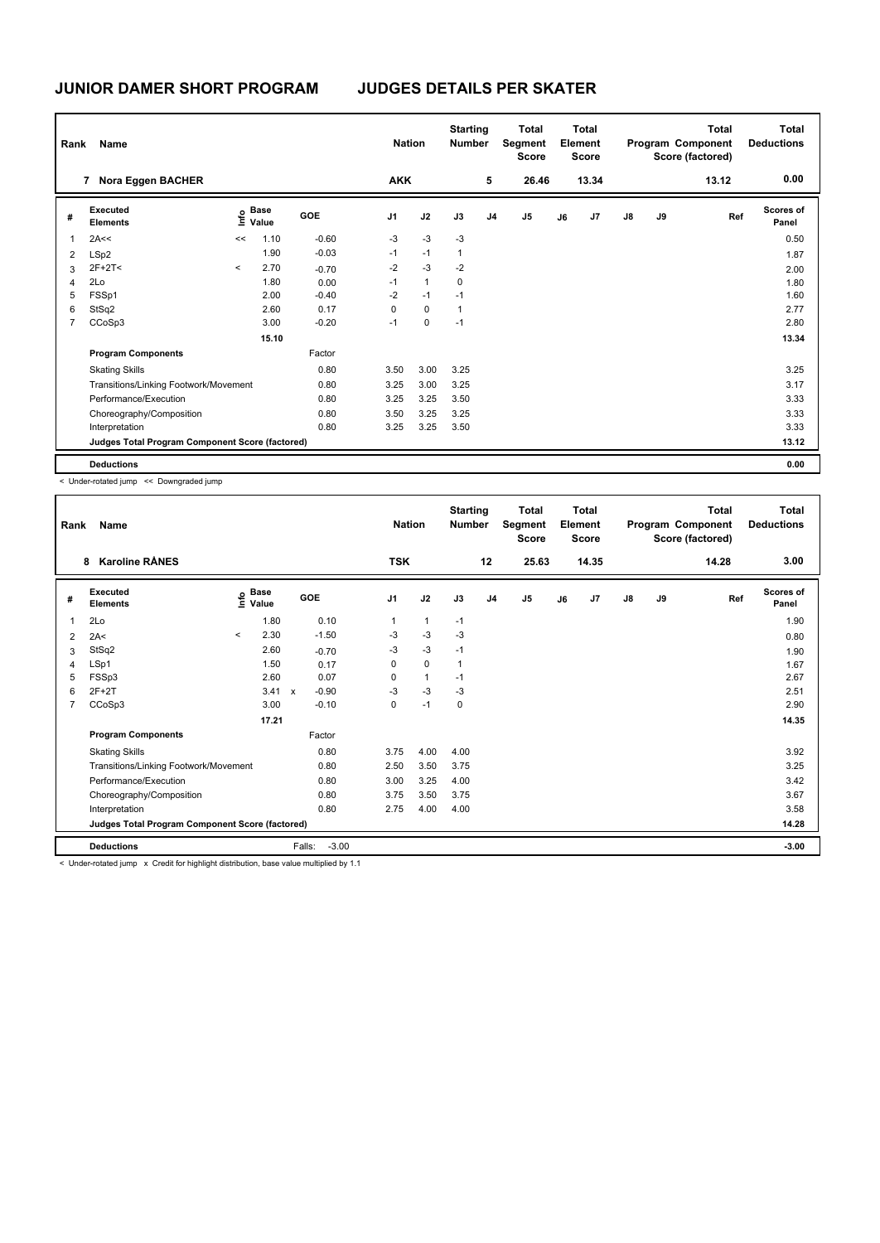| Rank | Name                                            |         |               |         | <b>Nation</b>  |              | <b>Starting</b><br><b>Number</b> |                | <b>Total</b><br>Segment<br><b>Score</b> |    | Total<br>Element<br><b>Score</b> |               |    | Total<br>Program Component<br>Score (factored) | <b>Total</b><br><b>Deductions</b> |
|------|-------------------------------------------------|---------|---------------|---------|----------------|--------------|----------------------------------|----------------|-----------------------------------------|----|----------------------------------|---------------|----|------------------------------------------------|-----------------------------------|
|      | Nora Eggen BACHER<br>$\overline{7}$             |         |               |         | <b>AKK</b>     |              |                                  | 5              | 26.46                                   |    | 13.34                            |               |    | 13.12                                          | 0.00                              |
| #    | Executed<br><b>Elements</b>                     | lnfo    | Base<br>Value | GOE     | J <sub>1</sub> | J2           | J3                               | J <sub>4</sub> | J <sub>5</sub>                          | J6 | J7                               | $\mathsf{J}8$ | J9 | Ref                                            | Scores of<br>Panel                |
| 1    | 2A<<                                            | <<      | 1.10          | $-0.60$ | $-3$           | $-3$         | $-3$                             |                |                                         |    |                                  |               |    |                                                | 0.50                              |
| 2    | LSp2                                            |         | 1.90          | $-0.03$ | $-1$           | $-1$         | $\overline{1}$                   |                |                                         |    |                                  |               |    |                                                | 1.87                              |
| 3    | $2F+2T<$                                        | $\prec$ | 2.70          | $-0.70$ | $-2$           | $-3$         | $-2$                             |                |                                         |    |                                  |               |    |                                                | 2.00                              |
| 4    | 2Lo                                             |         | 1.80          | 0.00    | $-1$           | $\mathbf{1}$ | 0                                |                |                                         |    |                                  |               |    |                                                | 1.80                              |
| 5    | FSSp1                                           |         | 2.00          | $-0.40$ | $-2$           | $-1$         | $-1$                             |                |                                         |    |                                  |               |    |                                                | 1.60                              |
| 6    | StSq2                                           |         | 2.60          | 0.17    | 0              | $\mathbf 0$  | $\mathbf{1}$                     |                |                                         |    |                                  |               |    |                                                | 2.77                              |
|      | CCoSp3                                          |         | 3.00          | $-0.20$ | $-1$           | $\mathbf 0$  | $-1$                             |                |                                         |    |                                  |               |    |                                                | 2.80                              |
|      |                                                 |         | 15.10         |         |                |              |                                  |                |                                         |    |                                  |               |    |                                                | 13.34                             |
|      | <b>Program Components</b>                       |         |               | Factor  |                |              |                                  |                |                                         |    |                                  |               |    |                                                |                                   |
|      | <b>Skating Skills</b>                           |         |               | 0.80    | 3.50           | 3.00         | 3.25                             |                |                                         |    |                                  |               |    |                                                | 3.25                              |
|      | Transitions/Linking Footwork/Movement           |         |               | 0.80    | 3.25           | 3.00         | 3.25                             |                |                                         |    |                                  |               |    |                                                | 3.17                              |
|      | Performance/Execution                           |         |               | 0.80    | 3.25           | 3.25         | 3.50                             |                |                                         |    |                                  |               |    |                                                | 3.33                              |
|      | Choreography/Composition                        |         |               | 0.80    | 3.50           | 3.25         | 3.25                             |                |                                         |    |                                  |               |    |                                                | 3.33                              |
|      | Interpretation                                  |         |               | 0.80    | 3.25           | 3.25         | 3.50                             |                |                                         |    |                                  |               |    |                                                | 3.33                              |
|      | Judges Total Program Component Score (factored) |         |               |         |                |              |                                  |                |                                         |    |                                  |               |    |                                                | 13.12                             |
|      | <b>Deductions</b>                               |         |               |         |                |              |                                  |                |                                         |    |                                  |               |    |                                                | 0.00                              |

< Under-rotated jump << Downgraded jump

| Rank           | Name                                            |         |                                             |                           |         | <b>Nation</b>  |              | <b>Starting</b><br><b>Number</b> |                | <b>Total</b><br>Segment<br><b>Score</b> |    | <b>Total</b><br>Element<br><b>Score</b> |               |    | Total<br>Program Component<br>Score (factored) | Total<br><b>Deductions</b> |
|----------------|-------------------------------------------------|---------|---------------------------------------------|---------------------------|---------|----------------|--------------|----------------------------------|----------------|-----------------------------------------|----|-----------------------------------------|---------------|----|------------------------------------------------|----------------------------|
|                | <b>Karoline RÅNES</b><br>8                      |         |                                             |                           |         | <b>TSK</b>     |              |                                  | 12             | 25.63                                   |    | 14.35                                   |               |    | 14.28                                          | 3.00                       |
| #              | Executed<br><b>Elements</b>                     |         | <b>Base</b><br>e <sup>Base</sup><br>⊆ Value |                           | GOE     | J <sub>1</sub> | J2           | J3                               | J <sub>4</sub> | J <sub>5</sub>                          | J6 | J <sub>7</sub>                          | $\mathsf{J}8$ | J9 | Ref                                            | <b>Scores of</b><br>Panel  |
| 1              | 2Lo                                             |         | 1.80                                        |                           | 0.10    | 1              | $\mathbf{1}$ | $-1$                             |                |                                         |    |                                         |               |    |                                                | 1.90                       |
| 2              | 2A<                                             | $\prec$ | 2.30                                        |                           | $-1.50$ | $-3$           | $-3$         | $-3$                             |                |                                         |    |                                         |               |    |                                                | 0.80                       |
| 3              | StSq2                                           |         | 2.60                                        |                           | $-0.70$ | $-3$           | $-3$         | $-1$                             |                |                                         |    |                                         |               |    |                                                | 1.90                       |
| $\overline{4}$ | LSp1                                            |         | 1.50                                        |                           | 0.17    | 0              | $\mathbf 0$  | $\mathbf{1}$                     |                |                                         |    |                                         |               |    |                                                | 1.67                       |
| 5              | FSSp3                                           |         | 2.60                                        |                           | 0.07    | $\Omega$       | $\mathbf{1}$ | $-1$                             |                |                                         |    |                                         |               |    |                                                | 2.67                       |
| 6              | $2F+2T$                                         |         | 3.41                                        | $\boldsymbol{\mathsf{x}}$ | $-0.90$ | $-3$           | $-3$         | -3                               |                |                                         |    |                                         |               |    |                                                | 2.51                       |
| $\overline{7}$ | CCoSp3                                          |         | 3.00                                        |                           | $-0.10$ | 0              | $-1$         | 0                                |                |                                         |    |                                         |               |    |                                                | 2.90                       |
|                |                                                 |         | 17.21                                       |                           |         |                |              |                                  |                |                                         |    |                                         |               |    |                                                | 14.35                      |
|                | <b>Program Components</b>                       |         |                                             |                           | Factor  |                |              |                                  |                |                                         |    |                                         |               |    |                                                |                            |
|                | <b>Skating Skills</b>                           |         |                                             |                           | 0.80    | 3.75           | 4.00         | 4.00                             |                |                                         |    |                                         |               |    |                                                | 3.92                       |
|                | Transitions/Linking Footwork/Movement           |         |                                             |                           | 0.80    | 2.50           | 3.50         | 3.75                             |                |                                         |    |                                         |               |    |                                                | 3.25                       |
|                | Performance/Execution                           |         |                                             |                           | 0.80    | 3.00           | 3.25         | 4.00                             |                |                                         |    |                                         |               |    |                                                | 3.42                       |
|                | Choreography/Composition                        |         |                                             |                           | 0.80    | 3.75           | 3.50         | 3.75                             |                |                                         |    |                                         |               |    |                                                | 3.67                       |
|                | Interpretation                                  |         |                                             |                           | 0.80    | 2.75           | 4.00         | 4.00                             |                |                                         |    |                                         |               |    |                                                | 3.58                       |
|                | Judges Total Program Component Score (factored) |         |                                             |                           |         |                |              |                                  |                |                                         |    |                                         |               |    |                                                | 14.28                      |
|                | <b>Deductions</b>                               |         |                                             | Falls:                    | $-3.00$ |                |              |                                  |                |                                         |    |                                         |               |    |                                                | $-3.00$                    |

< Under-rotated jump x Credit for highlight distribution, base value multiplied by 1.1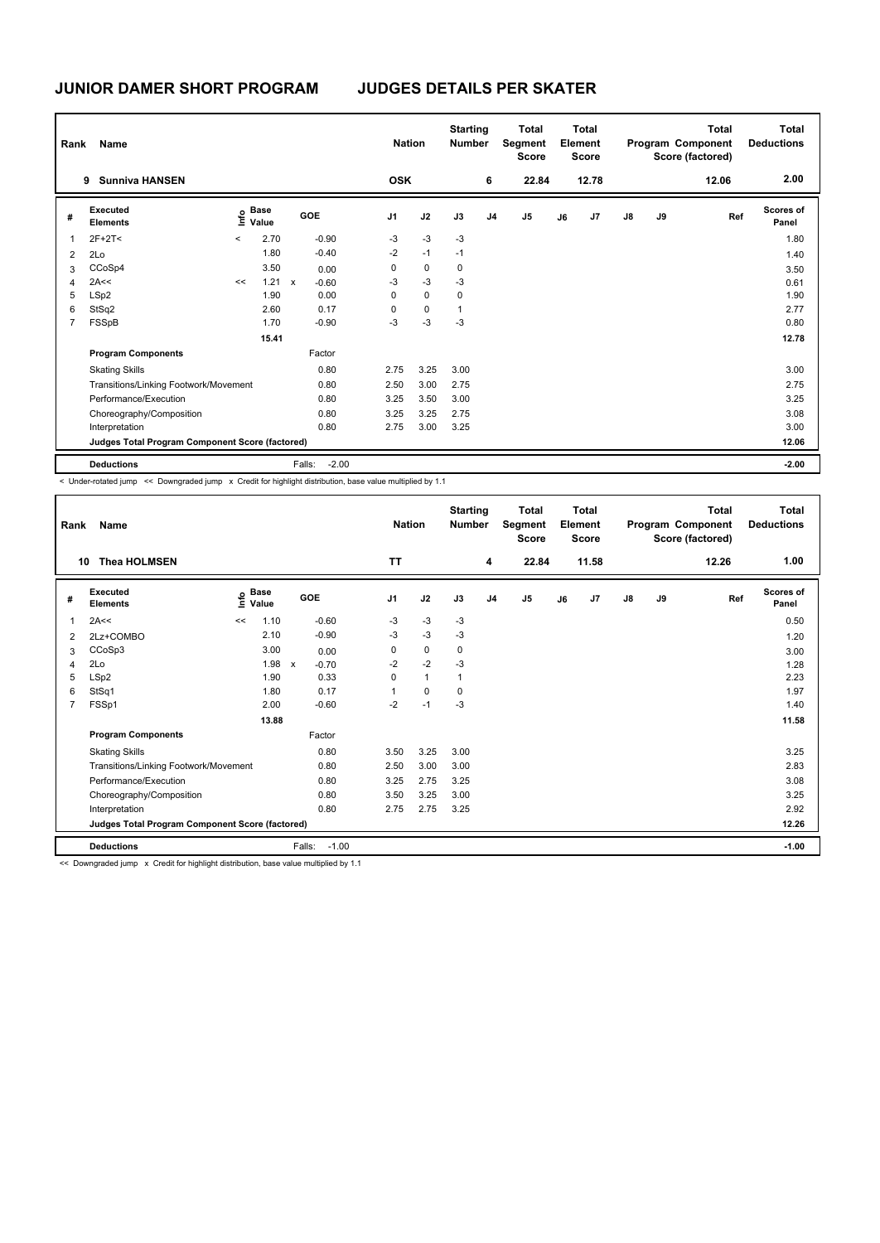| Rank | Name                                            |               |                      |              |         | <b>Nation</b>  |             | <b>Starting</b><br><b>Number</b> |                | <b>Total</b><br>Segment<br><b>Score</b> |    | <b>Total</b><br>Element<br><b>Score</b> |               |    | <b>Total</b><br>Program Component<br>Score (factored) | Total<br><b>Deductions</b> |
|------|-------------------------------------------------|---------------|----------------------|--------------|---------|----------------|-------------|----------------------------------|----------------|-----------------------------------------|----|-----------------------------------------|---------------|----|-------------------------------------------------------|----------------------------|
|      | <b>Sunniva HANSEN</b><br>9                      |               |                      |              |         | <b>OSK</b>     |             |                                  | 6              | 22.84                                   |    | 12.78                                   |               |    | 12.06                                                 | 2.00                       |
| #    | Executed<br><b>Elements</b>                     | $\frac{1}{2}$ | <b>Base</b><br>Value |              | GOE     | J <sub>1</sub> | J2          | J3                               | J <sub>4</sub> | J <sub>5</sub>                          | J6 | J7                                      | $\mathsf{J}8$ | J9 | Ref                                                   | Scores of<br>Panel         |
|      | $2F+2T<$                                        | $\checkmark$  | 2.70                 |              | $-0.90$ | $-3$           | $-3$        | $-3$                             |                |                                         |    |                                         |               |    |                                                       | 1.80                       |
| 2    | 2Lo                                             |               | 1.80                 |              | $-0.40$ | $-2$           | $-1$        | $-1$                             |                |                                         |    |                                         |               |    |                                                       | 1.40                       |
| 3    | CCoSp4                                          |               | 3.50                 |              | 0.00    | 0              | $\mathbf 0$ | 0                                |                |                                         |    |                                         |               |    |                                                       | 3.50                       |
| 4    | 2A<<                                            | <<            | 1.21                 | $\mathsf{x}$ | $-0.60$ | $-3$           | $-3$        | $-3$                             |                |                                         |    |                                         |               |    |                                                       | 0.61                       |
| 5    | LSp2                                            |               | 1.90                 |              | 0.00    | 0              | 0           | 0                                |                |                                         |    |                                         |               |    |                                                       | 1.90                       |
| 6    | StSq2                                           |               | 2.60                 |              | 0.17    | 0              | $\mathbf 0$ |                                  |                |                                         |    |                                         |               |    |                                                       | 2.77                       |
| 7    | FSSpB                                           |               | 1.70                 |              | $-0.90$ | -3             | $-3$        | $-3$                             |                |                                         |    |                                         |               |    |                                                       | 0.80                       |
|      |                                                 |               | 15.41                |              |         |                |             |                                  |                |                                         |    |                                         |               |    |                                                       | 12.78                      |
|      | <b>Program Components</b>                       |               |                      |              | Factor  |                |             |                                  |                |                                         |    |                                         |               |    |                                                       |                            |
|      | <b>Skating Skills</b>                           |               |                      |              | 0.80    | 2.75           | 3.25        | 3.00                             |                |                                         |    |                                         |               |    |                                                       | 3.00                       |
|      | Transitions/Linking Footwork/Movement           |               |                      |              | 0.80    | 2.50           | 3.00        | 2.75                             |                |                                         |    |                                         |               |    |                                                       | 2.75                       |
|      | Performance/Execution                           |               |                      |              | 0.80    | 3.25           | 3.50        | 3.00                             |                |                                         |    |                                         |               |    |                                                       | 3.25                       |
|      | Choreography/Composition                        |               |                      |              | 0.80    | 3.25           | 3.25        | 2.75                             |                |                                         |    |                                         |               |    |                                                       | 3.08                       |
|      | Interpretation                                  |               |                      |              | 0.80    | 2.75           | 3.00        | 3.25                             |                |                                         |    |                                         |               |    |                                                       | 3.00                       |
|      | Judges Total Program Component Score (factored) |               |                      |              |         |                |             |                                  |                |                                         |    |                                         |               |    |                                                       | 12.06                      |
|      | <b>Deductions</b>                               |               |                      | Falls:       | $-2.00$ |                |             |                                  |                |                                         |    |                                         |               |    |                                                       | $-2.00$                    |

< Under-rotated jump << Downgraded jump x Credit for highlight distribution, base value multiplied by 1.1

| Rank | <b>Name</b>                                     |    |                                             |                         |                | <b>Nation</b> | <b>Starting</b><br><b>Number</b> |                | <b>Total</b><br>Segment<br><b>Score</b> |    | <b>Total</b><br>Element<br><b>Score</b> |               |    | <b>Total</b><br>Program Component<br>Score (factored) | <b>Total</b><br><b>Deductions</b> |
|------|-------------------------------------------------|----|---------------------------------------------|-------------------------|----------------|---------------|----------------------------------|----------------|-----------------------------------------|----|-----------------------------------------|---------------|----|-------------------------------------------------------|-----------------------------------|
| 10   | <b>Thea HOLMSEN</b>                             |    |                                             |                         | <b>TT</b>      |               |                                  | 4              | 22.84                                   |    | 11.58                                   |               |    | 12.26                                                 | 1.00                              |
| #    | Executed<br><b>Elements</b>                     |    | <b>Base</b><br>은 <sup>Base</sup><br>트 Value | <b>GOE</b>              | J <sub>1</sub> | J2            | J3                               | J <sub>4</sub> | J <sub>5</sub>                          | J6 | J7                                      | $\mathsf{J}8$ | J9 | Ref                                                   | <b>Scores of</b><br>Panel         |
| 1    | 2A<<                                            | << | 1.10                                        | $-0.60$                 | -3             | $-3$          | $-3$                             |                |                                         |    |                                         |               |    |                                                       | 0.50                              |
| 2    | 2Lz+COMBO                                       |    | 2.10                                        | $-0.90$                 | $-3$           | $-3$          | $-3$                             |                |                                         |    |                                         |               |    |                                                       | 1.20                              |
| 3    | CCoSp3                                          |    | 3.00                                        | 0.00                    | 0              | $\pmb{0}$     | 0                                |                |                                         |    |                                         |               |    |                                                       | 3.00                              |
| 4    | 2Lo                                             |    | 1.98                                        | $\mathsf{x}$<br>$-0.70$ | $-2$           | $-2$          | $-3$                             |                |                                         |    |                                         |               |    |                                                       | 1.28                              |
| 5    | LSp2                                            |    | 1.90                                        | 0.33                    | 0              | $\mathbf{1}$  | 1                                |                |                                         |    |                                         |               |    |                                                       | 2.23                              |
| 6    | StSq1                                           |    | 1.80                                        | 0.17                    |                | $\mathbf 0$   | $\Omega$                         |                |                                         |    |                                         |               |    |                                                       | 1.97                              |
| 7    | FSSp1                                           |    | 2.00                                        | $-0.60$                 | $-2$           | $-1$          | $-3$                             |                |                                         |    |                                         |               |    |                                                       | 1.40                              |
|      |                                                 |    | 13.88                                       |                         |                |               |                                  |                |                                         |    |                                         |               |    |                                                       | 11.58                             |
|      | <b>Program Components</b>                       |    |                                             | Factor                  |                |               |                                  |                |                                         |    |                                         |               |    |                                                       |                                   |
|      | <b>Skating Skills</b>                           |    |                                             | 0.80                    | 3.50           | 3.25          | 3.00                             |                |                                         |    |                                         |               |    |                                                       | 3.25                              |
|      | Transitions/Linking Footwork/Movement           |    |                                             | 0.80                    | 2.50           | 3.00          | 3.00                             |                |                                         |    |                                         |               |    |                                                       | 2.83                              |
|      | Performance/Execution                           |    |                                             | 0.80                    | 3.25           | 2.75          | 3.25                             |                |                                         |    |                                         |               |    |                                                       | 3.08                              |
|      | Choreography/Composition                        |    |                                             | 0.80                    | 3.50           | 3.25          | 3.00                             |                |                                         |    |                                         |               |    |                                                       | 3.25                              |
|      | Interpretation                                  |    |                                             | 0.80                    | 2.75           | 2.75          | 3.25                             |                |                                         |    |                                         |               |    |                                                       | 2.92                              |
|      | Judges Total Program Component Score (factored) |    |                                             |                         |                |               |                                  |                |                                         |    |                                         |               |    |                                                       | 12.26                             |
|      | <b>Deductions</b>                               |    |                                             | $-1.00$<br>Falls:       |                |               |                                  |                |                                         |    |                                         |               |    |                                                       | $-1.00$                           |

<< Downgraded jump x Credit for highlight distribution, base value multiplied by 1.1